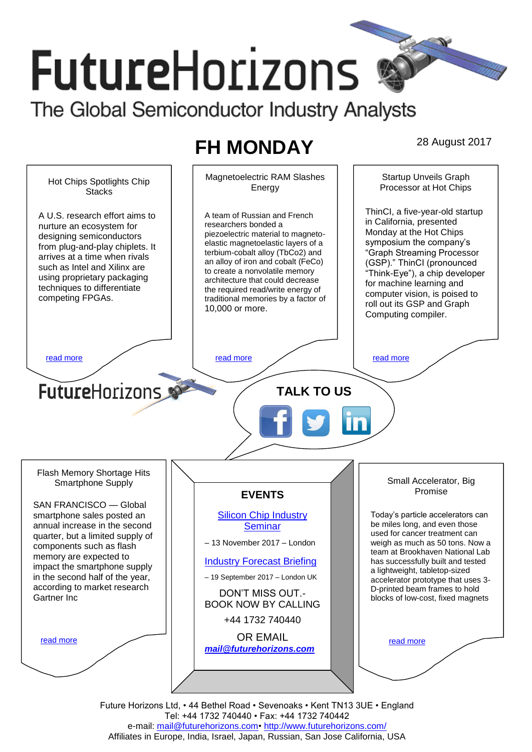# **FutureHorizons** The Global Semiconductor Industry Analysts

# **FH MONDAY** 28 August 2017

Magnetoelectric RAM Slashes Startup Unveils Graph Hot Chips Spotlights Chip Energy Processor at Hot Chips **Stacks** ThinCI, a five-year-old startup A U.S. research effort aims to A team of Russian and French in California, presented researchers bonded a nurture an ecosystem for Monday at the Hot Chips piezoelectric material to magnetodesigning semiconductors elastic magnetoelastic layers of a symposium the company's from plug-and-play chiplets. It terbium-cobalt alloy (TbCo2) and "Graph Streaming Processor arrives at a time when rivals an alloy of iron and cobalt (FeCo) (GSP)." ThinCI (pronounced such as Intel and Xilinx are to create a nonvolatile memory "Think-Eye"), a chip developer using proprietary packaging architecture that could decrease for machine learning and techniques to differentiate the required read/write energy of computer vision, is poised to competing FPGAs. traditional memories by a factor of roll out its GSP and Graph 10,000 or more. Computing compiler. [read more](#page-1-1) that the second contract the second contract of the read more that the read more that the read more **Future**Horizons **TALK TO US** Flash Memory Shortage Hits Small Accelerator, Big Smartphone Supply Promise **EVENTS** SAN FRANCISCO — Global smartphone sales posted an [Silicon Chip Industry](http://www.futurehorizons.com/page/12/silicon-chip-training)  Today's particle accelerators can be miles long, and even those annual increase in the second **[Seminar](http://www.futurehorizons.com/page/12/silicon-chip-training)** used for cancer treatment can quarter, but a limited supply of – 13 November 2017 – London weigh as much as 50 tons. Now a components such as flash team at Brookhaven National Lab memory are expected to [Industry Forecast Briefing](http://www.futurehorizons.com/page/13/Semiconductor-Market-Forecast-Seminar) has successfully built and tested impact the smartphone supply a lightweight, tabletop-sized in the second half of the year, – 19 September 2017 – London UK accelerator prototype that uses 3 according to market research D-printed beam frames to hold DON'T MISS OUT.- Gartner Incblocks of low-cost, fixed magnets BOOK NOW BY CALLING +44 1732 740440 OR EMAIL [read more](#page-1-3) [read more](#page-1-4) *[mail@futurehorizons.com](mailto:mail@futurehorizons.com)*

> Future Horizons Ltd, • 44 Bethel Road • Sevenoaks • Kent TN13 3UE • England Tel: +44 1732 740440 • Fax: +44 1732 740442 e-mail: mail@futurehorizons.com• http://www.futurehorizons.com/ Affiliates in Europe, India, Israel, Japan, Russian, San Jose California, USA